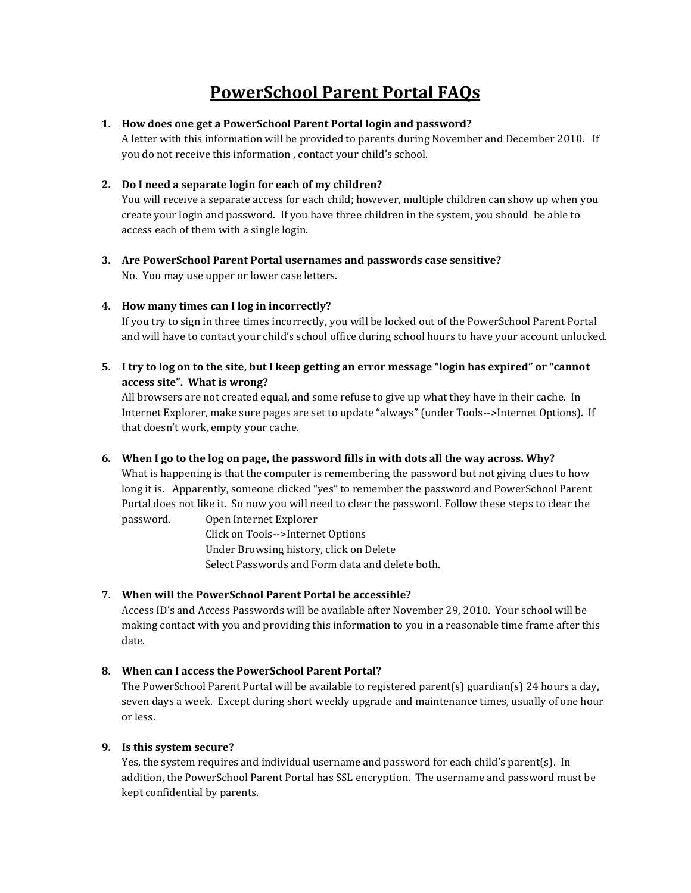# **PowerSchool Parent Portal FAQs**

## **1. How does one get a PowerSchool Parent Portal login and password?**

A letter with this information will be provided to parents during November and December 2010. If you do not receive this information , contact your child's school.

# **2. Do I need a separate login for each of my children?**

You will receive a separate access for each child; however, multiple children can show up when you create your login and password. If you have three children in the system, you should be able to access each of them with a single login.

**3. Are PowerSchool Parent Portal usernames and passwords case sensitive?** No. You may use upper or lower case letters.

## **4. How many times can I log in incorrectly?**

If you try to sign in three times incorrectly, you will be locked out of the PowerSchool Parent Portal and will have to contact your child's school office during school hours to have your account unlocked.

**5. I try to log on to the site, but I keep getting an error message "login has expired" or "cannot access site". What is wrong?**

All browsers are not created equal, and some refuse to give up what they have in their cache. In Internet Explorer, make sure pages are set to update "always" (under Tools-->Internet Options). If that doesn't work, empty your cache.

# **6. When I go to the log on page, the password fills in with dots all the way across. Why?**

What is happening is that the computer is remembering the password but not giving clues to how long it is. Apparently, someone clicked "yes" to remember the password and PowerSchool Parent Portal does not like it. So now you will need to clear the password. Follow these steps to clear the password. Open Internet Explorer

> Click on Tools-->Internet Options Under Browsing history, click on Delete Select Passwords and Form data and delete both.

# **7. When will the PowerSchool Parent Portal be accessible?**

Access ID's and Access Passwords will be available after November 29, 2010. Your school will be making contact with you and providing this information to you in a reasonable time frame after this date.

# **8. When can I access the PowerSchool Parent Portal?**

The PowerSchool Parent Portal will be available to registered parent(s) guardian(s) 24 hours a day, seven days a week. Except during short weekly upgrade and maintenance times, usually of one hour or less.

#### **9. Is this system secure?**

Yes, the system requires and individual username and password for each child's parent(s). In addition, the PowerSchool Parent Portal has SSL encryption. The username and password must be kept confidential by parents.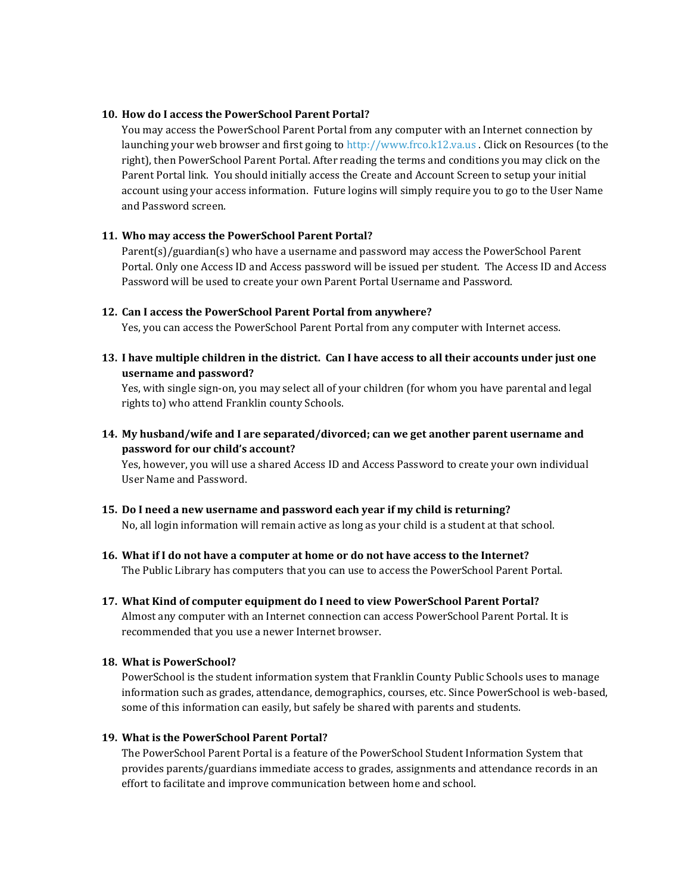### **10. How do I access the PowerSchool Parent Portal?**

You may access the PowerSchool Parent Portal from any computer with an Internet connection by launching your web browser and first going to [http://www.frco.k12.va.us](http://www.frco.k12.va.us/) . Click on Resources (to the right), then PowerSchool Parent Portal. After reading the terms and conditions you may click on the Parent Portal link. You should initially access the Create and Account Screen to setup your initial account using your access information. Future logins will simply require you to go to the User Name and Password screen.

## **11. Who may access the PowerSchool Parent Portal?**

Parent(s)/guardian(s) who have a username and password may access the PowerSchool Parent Portal. Only one Access ID and Access password will be issued per student. The Access ID and Access Password will be used to create your own Parent Portal Username and Password.

## **12. Can I access the PowerSchool Parent Portal from anywhere?**

Yes, you can access the PowerSchool Parent Portal from any computer with Internet access.

**13. I have multiple children in the district. Can I have access to all their accounts under just one username and password?**

Yes, with single sign-on, you may select all of your children (for whom you have parental and legal rights to) who attend Franklin county Schools.

**14. My husband/wife and I are separated/divorced; can we get another parent username and password for our child's account?**

Yes, however, you will use a shared Access ID and Access Password to create your own individual User Name and Password.

- **15. Do I need a new username and password each year if my child is returning?** No, all login information will remain active as long as your child is a student at that school.
- **16. What if I do not have a computer at home or do not have access to the Internet?** The Public Library has computers that you can use to access the PowerSchool Parent Portal.
- **17. What Kind of computer equipment do I need to view PowerSchool Parent Portal?** Almost any computer with an Internet connection can access PowerSchool Parent Portal. It is recommended that you use a newer Internet browser.

#### **18. What is PowerSchool?**

PowerSchool is the student information system that Franklin County Public Schools uses to manage information such as grades, attendance, demographics, courses, etc. Since PowerSchool is web-based, some of this information can easily, but safely be shared with parents and students.

# **19. What is the PowerSchool Parent Portal?**

The PowerSchool Parent Portal is a feature of the PowerSchool Student Information System that provides parents/guardians immediate access to grades, assignments and attendance records in an effort to facilitate and improve communication between home and school.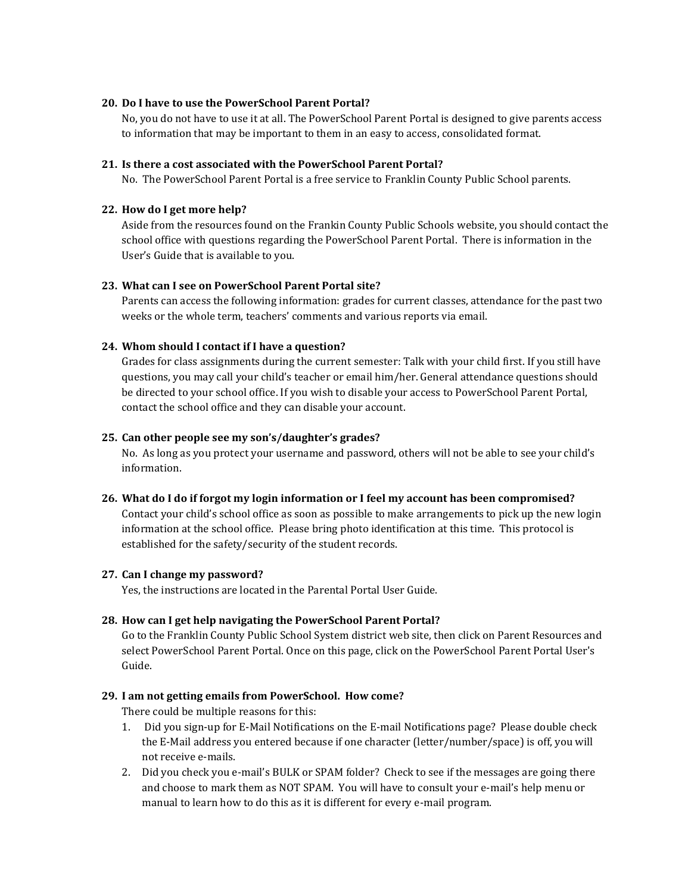#### **20. Do I have to use the PowerSchool Parent Portal?**

No, you do not have to use it at all. The PowerSchool Parent Portal is designed to give parents access to information that may be important to them in an easy to access, consolidated format.

#### **21. Is there a cost associated with the PowerSchool Parent Portal?**

No. The PowerSchool Parent Portal is a free service to Franklin County Public School parents.

#### **22. How do I get more help?**

Aside from the resources found on the Frankin County Public Schools website, you should contact the school office with questions regarding the PowerSchool Parent Portal. There is information in the User's Guide that is available to you.

#### **23. What can I see on PowerSchool Parent Portal site?**

Parents can access the following information: grades for current classes, attendance for the past two weeks or the whole term, teachers' comments and various reports via email.

#### **24. Whom should I contact if I have a question?**

Grades for class assignments during the current semester: Talk with your child first. If you still have questions, you may call your child's teacher or email him/her. General attendance questions should be directed to your school office. If you wish to disable your access to PowerSchool Parent Portal, contact the school office and they can disable your account.

#### **25. Can other people see my son's/daughter's grades?**

No. As long as you protect your username and password, others will not be able to see your child's information.

#### **26. What do I do if forgot my login information or I feel my account has been compromised?**

Contact your child's school office as soon as possible to make arrangements to pick up the new login information at the school office. Please bring photo identification at this time. This protocol is established for the safety/security of the student records.

#### **27. Can I change my password?**

Yes, the instructions are located in the Parental Portal User Guide.

#### **28. How can I get help navigating the PowerSchool Parent Portal?**

Go to the Franklin County Public School System district web site, then click on Parent Resources and select PowerSchool Parent Portal. Once on this page, click on the PowerSchool Parent Portal User's Guide.

#### **29. I am not getting emails from PowerSchool. How come?**

There could be multiple reasons for this:

- 1. Did you sign-up for E-Mail Notifications on the E-mail Notifications page? Please double check the E-Mail address you entered because if one character (letter/number/space) is off, you will not receive e-mails.
- 2. Did you check you e-mail's BULK or SPAM folder? Check to see if the messages are going there and choose to mark them as NOT SPAM. You will have to consult your e-mail's help menu or manual to learn how to do this as it is different for every e-mail program.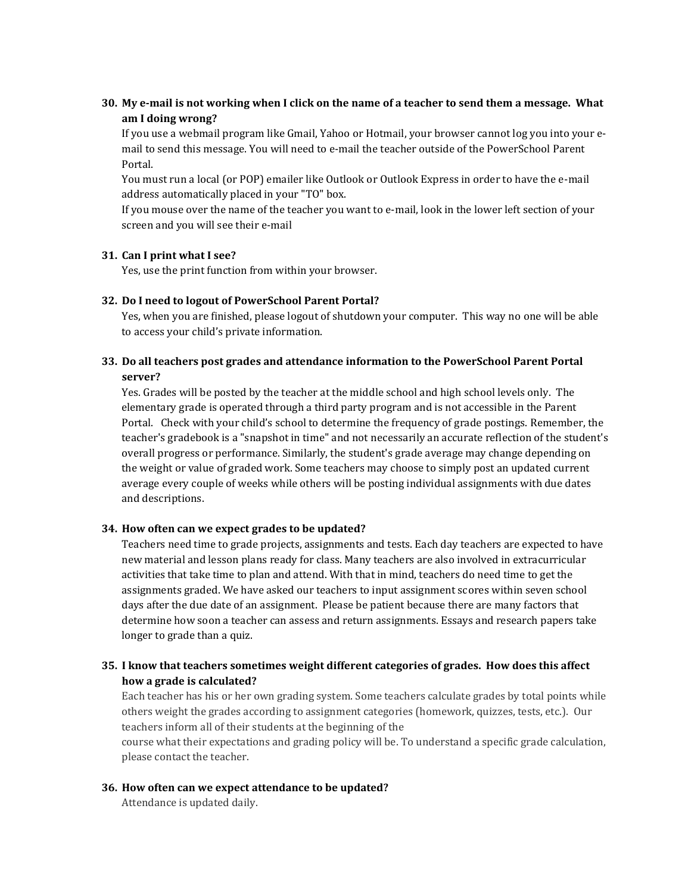# **30. My e-mail is not working when I click on the name of a teacher to send them a message. What am I doing wrong?**

If you use a webmail program like Gmail, Yahoo or Hotmail, your browser cannot log you into your email to send this message. You will need to e-mail the teacher outside of the PowerSchool Parent Portal.

You must run a local (or POP) emailer like Outlook or Outlook Express in order to have the e-mail address automatically placed in your "TO" box.

If you mouse over the name of the teacher you want to e-mail, look in the lower left section of your screen and you will see their e-mail

#### **31. Can I print what I see?**

Yes, use the print function from within your browser.

#### **32. Do I need to logout of PowerSchool Parent Portal?**

Yes, when you are finished, please logout of shutdown your computer. This way no one will be able to access your child's private information.

# **33. Do all teachers post grades and attendance information to the PowerSchool Parent Portal server?**

Yes. Grades will be posted by the teacher at the middle school and high school levels only. The elementary grade is operated through a third party program and is not accessible in the Parent Portal. Check with your child's school to determine the frequency of grade postings. Remember, the teacher's gradebook is a "snapshot in time" and not necessarily an accurate reflection of the student's overall progress or performance. Similarly, the student's grade average may change depending on the weight or value of graded work. Some teachers may choose to simply post an updated current average every couple of weeks while others will be posting individual assignments with due dates and descriptions.

#### **34. How often can we expect grades to be updated?**

Teachers need time to grade projects, assignments and tests. Each day teachers are expected to have new material and lesson plans ready for class. Many teachers are also involved in extracurricular activities that take time to plan and attend. With that in mind, teachers do need time to get the assignments graded. We have asked our teachers to input assignment scores within seven school days after the due date of an assignment. Please be patient because there are many factors that determine how soon a teacher can assess and return assignments. Essays and research papers take longer to grade than a quiz.

## **35. I know that teachers sometimes weight different categories of grades. How does this affect how a grade is calculated?**

Each teacher has his or her own grading system. Some teachers calculate grades by total points while others weight the grades according to assignment categories (homework, quizzes, tests, etc.). Our teachers inform all of their students at the beginning of the

course what their expectations and grading policy will be. To understand a specific grade calculation, please contact the teacher.

# **36. How often can we expect attendance to be updated?**

Attendance is updated daily.